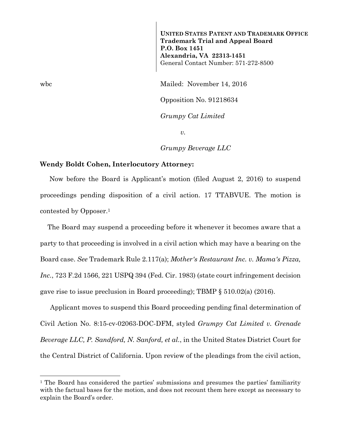**UNITED STATES PATENT AND TRADEMARK OFFICE Trademark Trial and Appeal Board P.O. Box 1451 Alexandria, VA 22313-1451**  General Contact Number: 571-272-8500

wbc Mailed: November 14, 2016

Opposition No. 91218634

*Grumpy Cat Limited* 

*v.* 

*Grumpy Beverage LLC* 

## **Wendy Boldt Cohen, Interlocutory Attorney:**

 Now before the Board is Applicant's motion (filed August 2, 2016) to suspend proceedings pending disposition of a civil action. 17 TTABVUE. The motion is contested by Opposer.1

 The Board may suspend a proceeding before it whenever it becomes aware that a party to that proceeding is involved in a civil action which may have a bearing on the Board case. *See* Trademark Rule 2.117(a); *Mother's Restaurant Inc. v. Mama's Pizza, Inc.*, 723 F.2d 1566, 221 USPQ 394 (Fed. Cir. 1983) (state court infringement decision gave rise to issue preclusion in Board proceeding); TBMP § 510.02(a) (2016).

Applicant moves to suspend this Board proceeding pending final determination of Civil Action No. 8:15-cv-02063-DOC-DFM, styled *Grumpy Cat Limited v. Grenade Beverage LLC, P. Sandford, N. Sanford, et al.*, in the United States District Court for the Central District of California. Upon review of the pleadings from the civil action,

l

<sup>&</sup>lt;sup>1</sup> The Board has considered the parties' submissions and presumes the parties' familiarity with the factual bases for the motion, and does not recount them here except as necessary to explain the Board's order.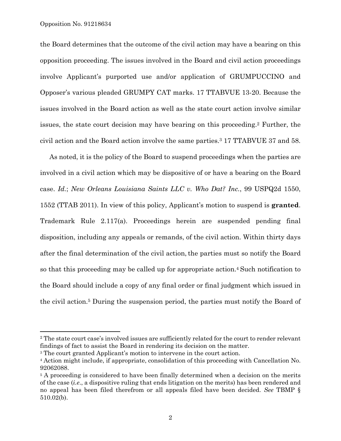$\overline{a}$ 

the Board determines that the outcome of the civil action may have a bearing on this opposition proceeding. The issues involved in the Board and civil action proceedings involve Applicant's purported use and/or application of GRUMPUCCINO and Opposer's various pleaded GRUMPY CAT marks. 17 TTABVUE 13-20. Because the issues involved in the Board action as well as the state court action involve similar issues, the state court decision may have bearing on this proceeding.2 Further, the civil action and the Board action involve the same parties.3 17 TTABVUE 37 and 58.

 As noted, it is the policy of the Board to suspend proceedings when the parties are involved in a civil action which may be dispositive of or have a bearing on the Board case. *Id.*; *New Orleans Louisiana Saints LLC v. Who Dat? Inc.*, 99 USPQ2d 1550, 1552 (TTAB 2011). In view of this policy, Applicant's motion to suspend is **granted**. Trademark Rule 2.117(a). Proceedings herein are suspended pending final disposition, including any appeals or remands, of the civil action. Within thirty days after the final determination of the civil action,the parties must so notify the Board so that this proceeding may be called up for appropriate action.4 Such notification to the Board should include a copy of any final order or final judgment which issued in the civil action.5 During the suspension period, the parties must notify the Board of

<sup>2</sup> The state court case's involved issues are sufficiently related for the court to render relevant findings of fact to assist the Board in rendering its decision on the matter.

<sup>3</sup> The court granted Applicant's motion to intervene in the court action.

<sup>4</sup> Action might include, if appropriate, consolidation of this proceeding with Cancellation No. 92062088.

<sup>&</sup>lt;sup>5</sup> A proceeding is considered to have been finally determined when a decision on the merits of the case (*i.e*., a dispositive ruling that ends litigation on the merits) has been rendered and no appeal has been filed therefrom or all appeals filed have been decided. *See* TBMP § 510.02(b).